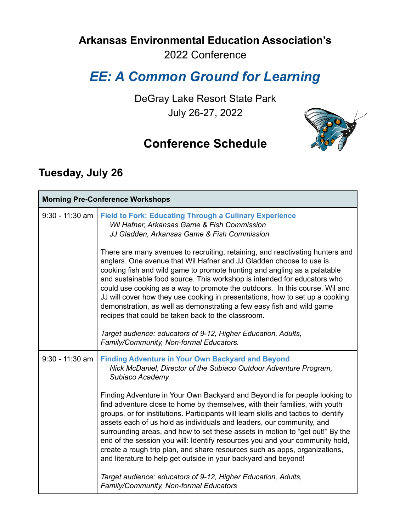## **Arkansas Environmental Education Association's**

2022 Conference

# *EE: A Common Ground for Learning*

DeGray Lake Resort State Park July 26-27, 2022





### **Tuesday, July 26**

| <b>Morning Pre-Conference Workshops</b> |                                                                                                                                                                                                                                                                                                                                                                                                                                                                                                                                                                                                                                             |
|-----------------------------------------|---------------------------------------------------------------------------------------------------------------------------------------------------------------------------------------------------------------------------------------------------------------------------------------------------------------------------------------------------------------------------------------------------------------------------------------------------------------------------------------------------------------------------------------------------------------------------------------------------------------------------------------------|
| $9:30 - 11:30$ am                       | <b>Field to Fork: Educating Through a Culinary Experience</b><br>Wil Hafner, Arkansas Game & Fish Commission<br>JJ Gladden, Arkansas Game & Fish Commission                                                                                                                                                                                                                                                                                                                                                                                                                                                                                 |
|                                         | There are many avenues to recruiting, retaining, and reactivating hunters and<br>anglers. One avenue that Wil Hafner and JJ Gladden choose to use is<br>cooking fish and wild game to promote hunting and angling as a palatable<br>and sustainable food source. This workshop is intended for educators who<br>could use cooking as a way to promote the outdoors. In this course, Wil and<br>JJ will cover how they use cooking in presentations, how to set up a cooking<br>demonstration, as well as demonstrating a few easy fish and wild game<br>recipes that could be taken back to the classroom.                                  |
|                                         | Target audience: educators of 9-12, Higher Education, Adults,<br>Family/Community, Non-formal Educators.                                                                                                                                                                                                                                                                                                                                                                                                                                                                                                                                    |
| $9:30 - 11:30$ am                       | <b>Finding Adventure in Your Own Backyard and Beyond</b><br>Nick McDaniel, Director of the Subiaco Outdoor Adventure Program,<br>Subiaco Academy                                                                                                                                                                                                                                                                                                                                                                                                                                                                                            |
|                                         | Finding Adventure in Your Own Backyard and Beyond is for people looking to<br>find adventure close to home by themselves, with their families, with youth<br>groups, or for institutions. Participants will learn skills and tactics to identify<br>assets each of us hold as individuals and leaders, our community, and<br>surrounding areas, and how to set these assets in motion to "get out!" By the<br>end of the session you will: Identify resources you and your community hold,<br>create a rough trip plan, and share resources such as apps, organizations,<br>and literature to help get outside in your backyard and beyond! |
|                                         | Target audience: educators of 9-12, Higher Education, Adults,<br>Family/Community, Non-formal Educators                                                                                                                                                                                                                                                                                                                                                                                                                                                                                                                                     |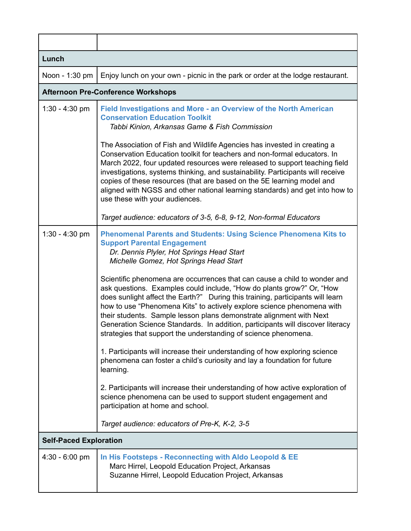| Lunch                         |                                                                                                                                                                                                                                                                                                                                                                                                                                                                                                                                            |  |
|-------------------------------|--------------------------------------------------------------------------------------------------------------------------------------------------------------------------------------------------------------------------------------------------------------------------------------------------------------------------------------------------------------------------------------------------------------------------------------------------------------------------------------------------------------------------------------------|--|
| Noon - 1:30 pm                | Enjoy lunch on your own - picnic in the park or order at the lodge restaurant.                                                                                                                                                                                                                                                                                                                                                                                                                                                             |  |
|                               | <b>Afternoon Pre-Conference Workshops</b>                                                                                                                                                                                                                                                                                                                                                                                                                                                                                                  |  |
| $1:30 - 4:30$ pm              | Field Investigations and More - an Overview of the North American<br><b>Conservation Education Toolkit</b><br>Tabbi Kinion, Arkansas Game & Fish Commission                                                                                                                                                                                                                                                                                                                                                                                |  |
|                               | The Association of Fish and Wildlife Agencies has invested in creating a<br>Conservation Education toolkit for teachers and non-formal educators. In<br>March 2022, four updated resources were released to support teaching field<br>investigations, systems thinking, and sustainability. Participants will receive<br>copies of these resources (that are based on the 5E learning model and<br>aligned with NGSS and other national learning standards) and get into how to<br>use these with your audiences.                          |  |
|                               | Target audience: educators of 3-5, 6-8, 9-12, Non-formal Educators                                                                                                                                                                                                                                                                                                                                                                                                                                                                         |  |
| $1:30 - 4:30$ pm              | <b>Phenomenal Parents and Students: Using Science Phenomena Kits to</b><br><b>Support Parental Engagement</b><br>Dr. Dennis Plyler, Hot Springs Head Start<br>Michelle Gomez, Hot Springs Head Start                                                                                                                                                                                                                                                                                                                                       |  |
|                               | Scientific phenomena are occurrences that can cause a child to wonder and<br>ask questions. Examples could include, "How do plants grow?" Or, "How<br>does sunlight affect the Earth?" During this training, participants will learn<br>how to use "Phenomena Kits" to actively explore science phenomena with<br>their students. Sample lesson plans demonstrate alignment with Next<br>Generation Science Standards. In addition, participants will discover literacy<br>strategies that support the understanding of science phenomena. |  |
|                               | 1. Participants will increase their understanding of how exploring science<br>phenomena can foster a child's curiosity and lay a foundation for future<br>learning.                                                                                                                                                                                                                                                                                                                                                                        |  |
|                               | 2. Participants will increase their understanding of how active exploration of<br>science phenomena can be used to support student engagement and<br>participation at home and school.                                                                                                                                                                                                                                                                                                                                                     |  |
|                               | Target audience: educators of Pre-K, K-2, 3-5                                                                                                                                                                                                                                                                                                                                                                                                                                                                                              |  |
| <b>Self-Paced Exploration</b> |                                                                                                                                                                                                                                                                                                                                                                                                                                                                                                                                            |  |
| $4:30 - 6:00$ pm              | In His Footsteps - Reconnecting with Aldo Leopold & EE<br>Marc Hirrel, Leopold Education Project, Arkansas<br>Suzanne Hirrel, Leopold Education Project, Arkansas                                                                                                                                                                                                                                                                                                                                                                          |  |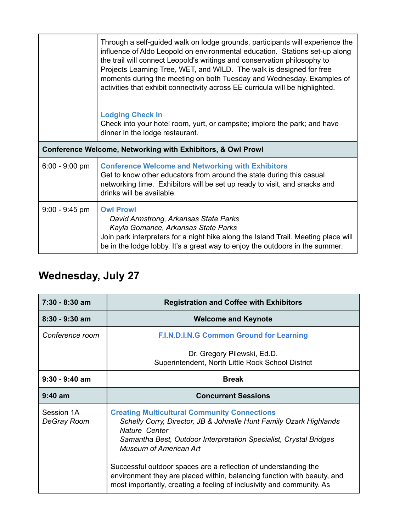|                                                             | Through a self-guided walk on lodge grounds, participants will experience the<br>influence of Aldo Leopold on environmental education. Stations set-up along<br>the trail will connect Leopold's writings and conservation philosophy to<br>Projects Learning Tree, WET, and WILD. The walk is designed for free<br>moments during the meeting on both Tuesday and Wednesday. Examples of<br>activities that exhibit connectivity across EE curricula will be highlighted. |
|-------------------------------------------------------------|----------------------------------------------------------------------------------------------------------------------------------------------------------------------------------------------------------------------------------------------------------------------------------------------------------------------------------------------------------------------------------------------------------------------------------------------------------------------------|
|                                                             | <b>Lodging Check In</b><br>Check into your hotel room, yurt, or campsite; implore the park; and have<br>dinner in the lodge restaurant.                                                                                                                                                                                                                                                                                                                                    |
| Conference Welcome, Networking with Exhibitors, & Owl Prowl |                                                                                                                                                                                                                                                                                                                                                                                                                                                                            |
| $6:00 - 9:00$ pm                                            | <b>Conference Welcome and Networking with Exhibitors</b><br>Get to know other educators from around the state during this casual<br>networking time. Exhibitors will be set up ready to visit, and snacks and<br>drinks will be available.                                                                                                                                                                                                                                 |
| $9:00 - 9:45$ pm                                            | <b>Owl Prowl</b><br>David Armstrong, Arkansas State Parks<br>Kayla Gomance, Arkansas State Parks<br>Join park interpreters for a night hike along the Island Trail. Meeting place will<br>be in the lodge lobby. It's a great way to enjoy the outdoors in the summer.                                                                                                                                                                                                     |

# **Wednesday, July 27**

| $7:30 - 8:30$ am          | <b>Registration and Coffee with Exhibitors</b>                                                                                                                                                                                            |
|---------------------------|-------------------------------------------------------------------------------------------------------------------------------------------------------------------------------------------------------------------------------------------|
| $8:30 - 9:30$ am          | <b>Welcome and Keynote</b>                                                                                                                                                                                                                |
| Conference room           | <b>F.I.N.D.I.N.G Common Ground for Learning</b>                                                                                                                                                                                           |
|                           | Dr. Gregory Pilewski, Ed.D.<br>Superintendent, North Little Rock School District                                                                                                                                                          |
| $9:30 - 9:40$ am          | <b>Break</b>                                                                                                                                                                                                                              |
| $9:40$ am                 | <b>Concurrent Sessions</b>                                                                                                                                                                                                                |
| Session 1A<br>DeGray Room | <b>Creating Multicultural Community Connections</b><br>Schelly Corry, Director, JB & Johnelle Hunt Family Ozark Highlands<br>Nature Center<br>Samantha Best, Outdoor Interpretation Specialist, Crystal Bridges<br>Museum of American Art |
|                           | Successful outdoor spaces are a reflection of understanding the<br>environment they are placed within, balancing function with beauty, and<br>most importantly, creating a feeling of inclusivity and community. As                       |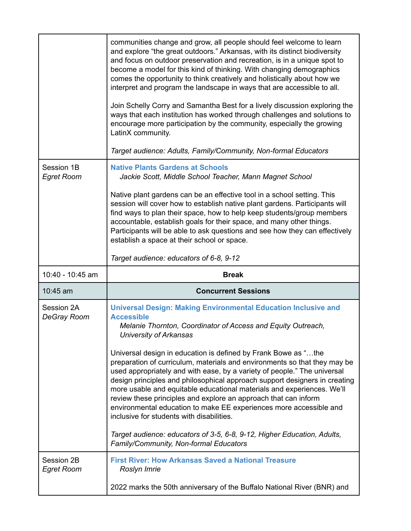|                                  | communities change and grow, all people should feel welcome to learn<br>and explore "the great outdoors." Arkansas, with its distinct biodiversity<br>and focus on outdoor preservation and recreation, is in a unique spot to<br>become a model for this kind of thinking. With changing demographics<br>comes the opportunity to think creatively and holistically about how we<br>interpret and program the landscape in ways that are accessible to all.<br>Join Schelly Corry and Samantha Best for a lively discussion exploring the<br>ways that each institution has worked through challenges and solutions to<br>encourage more participation by the community, especially the growing<br>LatinX community.<br>Target audience: Adults, Family/Community, Non-formal Educators                                                                                                  |
|----------------------------------|-------------------------------------------------------------------------------------------------------------------------------------------------------------------------------------------------------------------------------------------------------------------------------------------------------------------------------------------------------------------------------------------------------------------------------------------------------------------------------------------------------------------------------------------------------------------------------------------------------------------------------------------------------------------------------------------------------------------------------------------------------------------------------------------------------------------------------------------------------------------------------------------|
| Session 1B<br><b>Egret Room</b>  | <b>Native Plants Gardens at Schools</b><br>Jackie Scott, Middle School Teacher, Mann Magnet School<br>Native plant gardens can be an effective tool in a school setting. This<br>session will cover how to establish native plant gardens. Participants will<br>find ways to plan their space, how to help keep students/group members<br>accountable, establish goals for their space, and many other things.<br>Participants will be able to ask questions and see how they can effectively<br>establish a space at their school or space.<br>Target audience: educators of 6-8, 9-12                                                                                                                                                                                                                                                                                                   |
|                                  |                                                                                                                                                                                                                                                                                                                                                                                                                                                                                                                                                                                                                                                                                                                                                                                                                                                                                           |
| 10:40 - 10:45 am                 | <b>Break</b>                                                                                                                                                                                                                                                                                                                                                                                                                                                                                                                                                                                                                                                                                                                                                                                                                                                                              |
| 10:45 am                         | <b>Concurrent Sessions</b>                                                                                                                                                                                                                                                                                                                                                                                                                                                                                                                                                                                                                                                                                                                                                                                                                                                                |
| Session 2A<br><b>DeGray Room</b> | <b>Universal Design: Making Environmental Education Inclusive and</b><br><b>Accessible</b><br>Melanie Thornton, Coordinator of Access and Equity Outreach,<br><b>University of Arkansas</b><br>Universal design in education is defined by Frank Bowe as "the<br>preparation of curriculum, materials and environments so that they may be<br>used appropriately and with ease, by a variety of people." The universal<br>design principles and philosophical approach support designers in creating<br>more usable and equitable educational materials and experiences. We'll<br>review these principles and explore an approach that can inform<br>environmental education to make EE experiences more accessible and<br>inclusive for students with disabilities.<br>Target audience: educators of 3-5, 6-8, 9-12, Higher Education, Adults,<br>Family/Community, Non-formal Educators |
| Session 2B<br><b>Egret Room</b>  | <b>First River: How Arkansas Saved a National Treasure</b><br>Roslyn Imrie                                                                                                                                                                                                                                                                                                                                                                                                                                                                                                                                                                                                                                                                                                                                                                                                                |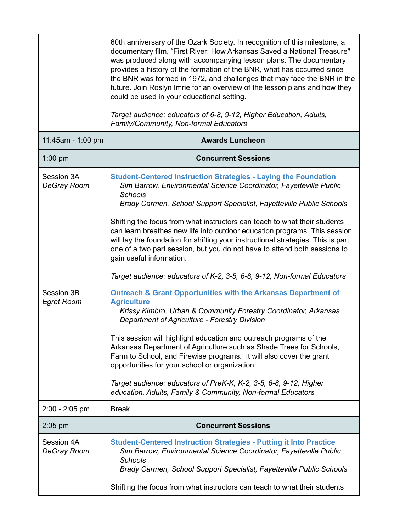|                                 | 60th anniversary of the Ozark Society. In recognition of this milestone, a<br>documentary film, "First River: How Arkansas Saved a National Treasure"<br>was produced along with accompanying lesson plans. The documentary<br>provides a history of the formation of the BNR, what has occurred since<br>the BNR was formed in 1972, and challenges that may face the BNR in the<br>future. Join Roslyn Imrie for an overview of the lesson plans and how they<br>could be used in your educational setting.<br>Target audience: educators of 6-8, 9-12, Higher Education, Adults,<br>Family/Community, Non-formal Educators                                     |
|---------------------------------|-------------------------------------------------------------------------------------------------------------------------------------------------------------------------------------------------------------------------------------------------------------------------------------------------------------------------------------------------------------------------------------------------------------------------------------------------------------------------------------------------------------------------------------------------------------------------------------------------------------------------------------------------------------------|
| 11:45am - 1:00 pm               | <b>Awards Luncheon</b>                                                                                                                                                                                                                                                                                                                                                                                                                                                                                                                                                                                                                                            |
| $1:00$ pm                       | <b>Concurrent Sessions</b>                                                                                                                                                                                                                                                                                                                                                                                                                                                                                                                                                                                                                                        |
| Session 3A<br>DeGray Room       | <b>Student-Centered Instruction Strategies - Laying the Foundation</b><br>Sim Barrow, Environmental Science Coordinator, Fayetteville Public<br>Schools<br>Brady Carmen, School Support Specialist, Fayetteville Public Schools<br>Shifting the focus from what instructors can teach to what their students<br>can learn breathes new life into outdoor education programs. This session<br>will lay the foundation for shifting your instructional strategies. This is part<br>one of a two part session, but you do not have to attend both sessions to<br>gain useful information.<br>Target audience: educators of K-2, 3-5, 6-8, 9-12, Non-formal Educators |
| Session 3B<br><b>Egret Room</b> | <b>Outreach &amp; Grant Opportunities with the Arkansas Department of</b><br><b>Agriculture</b><br>Krissy Kimbro, Urban & Community Forestry Coordinator, Arkansas<br>Department of Agriculture - Forestry Division<br>This session will highlight education and outreach programs of the<br>Arkansas Department of Agriculture such as Shade Trees for Schools,<br>Farm to School, and Firewise programs. It will also cover the grant<br>opportunities for your school or organization.<br>Target audience: educators of PreK-K, K-2, 3-5, 6-8, 9-12, Higher<br>education, Adults, Family & Community, Non-formal Educators                                     |
| $2:00 - 2:05$ pm                | <b>Break</b>                                                                                                                                                                                                                                                                                                                                                                                                                                                                                                                                                                                                                                                      |
| $2:05$ pm                       | <b>Concurrent Sessions</b>                                                                                                                                                                                                                                                                                                                                                                                                                                                                                                                                                                                                                                        |
| Session 4A<br>DeGray Room       | <b>Student-Centered Instruction Strategies - Putting it Into Practice</b><br>Sim Barrow, Environmental Science Coordinator, Fayetteville Public<br><b>Schools</b><br>Brady Carmen, School Support Specialist, Fayetteville Public Schools<br>Shifting the focus from what instructors can teach to what their students                                                                                                                                                                                                                                                                                                                                            |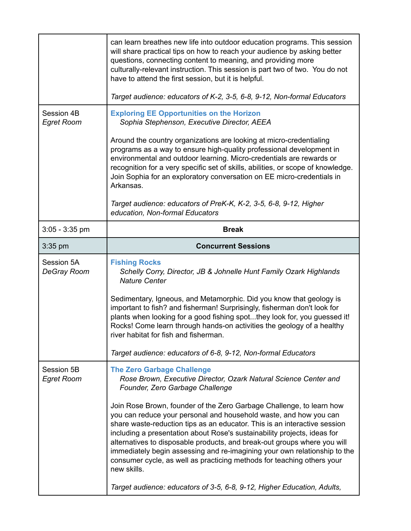|                                  | can learn breathes new life into outdoor education programs. This session<br>will share practical tips on how to reach your audience by asking better<br>questions, connecting content to meaning, and providing more<br>culturally-relevant instruction. This session is part two of two. You do not<br>have to attend the first session, but it is helpful.                                                                                                                                                                                        |
|----------------------------------|------------------------------------------------------------------------------------------------------------------------------------------------------------------------------------------------------------------------------------------------------------------------------------------------------------------------------------------------------------------------------------------------------------------------------------------------------------------------------------------------------------------------------------------------------|
|                                  | Target audience: educators of K-2, 3-5, 6-8, 9-12, Non-formal Educators                                                                                                                                                                                                                                                                                                                                                                                                                                                                              |
| Session 4B<br><b>Egret Room</b>  | <b>Exploring EE Opportunities on the Horizon</b><br>Sophia Stephenson, Executive Director, AEEA                                                                                                                                                                                                                                                                                                                                                                                                                                                      |
|                                  | Around the country organizations are looking at micro-credentialing<br>programs as a way to ensure high-quality professional development in<br>environmental and outdoor learning. Micro-credentials are rewards or<br>recognition for a very specific set of skills, abilities, or scope of knowledge.<br>Join Sophia for an exploratory conversation on EE micro-credentials in<br>Arkansas.                                                                                                                                                       |
|                                  | Target audience: educators of PreK-K, K-2, 3-5, 6-8, 9-12, Higher<br>education, Non-formal Educators                                                                                                                                                                                                                                                                                                                                                                                                                                                 |
| $3:05 - 3:35$ pm                 | <b>Break</b>                                                                                                                                                                                                                                                                                                                                                                                                                                                                                                                                         |
| $3:35$ pm                        | <b>Concurrent Sessions</b>                                                                                                                                                                                                                                                                                                                                                                                                                                                                                                                           |
| Session 5A<br><b>DeGray Room</b> | <b>Fishing Rocks</b><br>Schelly Corry, Director, JB & Johnelle Hunt Family Ozark Highlands<br><b>Nature Center</b>                                                                                                                                                                                                                                                                                                                                                                                                                                   |
|                                  | Sedimentary, Igneous, and Metamorphic. Did you know that geology is<br>important to fish? and fisherman! Surprisingly, fisherman don't look for<br>plants when looking for a good fishing spotthey look for, you guessed it!<br>Rocks! Come learn through hands-on activities the geology of a healthy<br>river habitat for fish and fisherman.                                                                                                                                                                                                      |
|                                  | Target audience: educators of 6-8, 9-12, Non-formal Educators                                                                                                                                                                                                                                                                                                                                                                                                                                                                                        |
| Session 5B<br><b>Egret Room</b>  | <b>The Zero Garbage Challenge</b><br>Rose Brown, Executive Director, Ozark Natural Science Center and<br>Founder, Zero Garbage Challenge                                                                                                                                                                                                                                                                                                                                                                                                             |
|                                  | Join Rose Brown, founder of the Zero Garbage Challenge, to learn how<br>you can reduce your personal and household waste, and how you can<br>share waste-reduction tips as an educator. This is an interactive session<br>including a presentation about Rose's sustainability projects, ideas for<br>alternatives to disposable products, and break-out groups where you will<br>immediately begin assessing and re-imagining your own relationship to the<br>consumer cycle, as well as practicing methods for teaching others your<br>new skills. |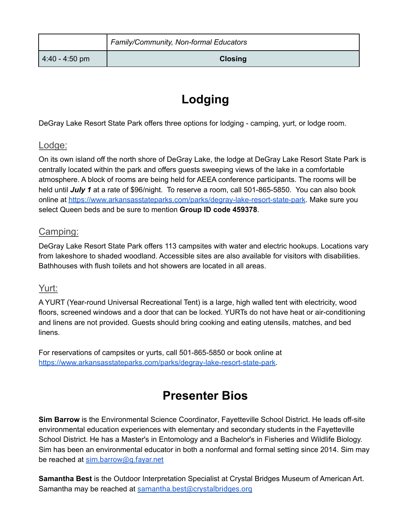|                | Family/Community, Non-formal Educators |
|----------------|----------------------------------------|
| 4:40 - 4:50 pm | <b>Closing</b>                         |

# **Lodging**

DeGray Lake Resort State Park offers three options for lodging - camping, yurt, or lodge room.

#### Lodge:

On its own island off the north shore of DeGray Lake, the lodge at DeGray Lake Resort State Park is centrally located within the park and offers guests sweeping views of the lake in a comfortable atmosphere. A block of rooms are being held for AEEA conference participants. The rooms will be held until *July 1* at a rate of \$96/night. To reserve a room, call 501-865-5850. You can also book online at <https://www.arkansasstateparks.com/parks/degray-lake-resort-state-park>. Make sure you select Queen beds and be sure to mention **Group ID code 459378**.

#### Camping:

DeGray Lake Resort State Park offers 113 campsites with water and electric hookups. Locations vary from lakeshore to shaded woodland. Accessible sites are also available for visitors with disabilities. Bathhouses with flush toilets and hot showers are located in all areas.

#### Yurt:

A YURT (Year-round Universal Recreational Tent) is a large, high walled tent with electricity, wood floors, screened windows and a door that can be locked. YURTs do not have heat or air-conditioning and linens are not provided. Guests should bring cooking and eating utensils, matches, and bed linens.

For reservations of campsites or yurts, call 501-865-5850 or book online at [https://www.arkansasstateparks.com/parks/degray-lake-resort-state-park.](https://www.arkansasstateparks.com/parks/degray-lake-resort-state-park)

### **Presenter Bios**

**Sim Barrow** is the Environmental Science Coordinator, Fayetteville School District. He leads off-site environmental education experiences with elementary and secondary students in the Fayetteville School District. He has a Master's in Entomology and a Bachelor's in Fisheries and Wildlife Biology. Sim has been an environmental educator in both a nonformal and formal setting since 2014. Sim may be reached at [sim.barrow@g.fayar.net](mailto:sim.barrow@g.fayar.net)

**Samantha Best** is the Outdoor Interpretation Specialist at Crystal Bridges Museum of American Art. Samantha may be reached at [samantha.best@crystalbridges.org](mailto:samantha.best@crystalbridges.org)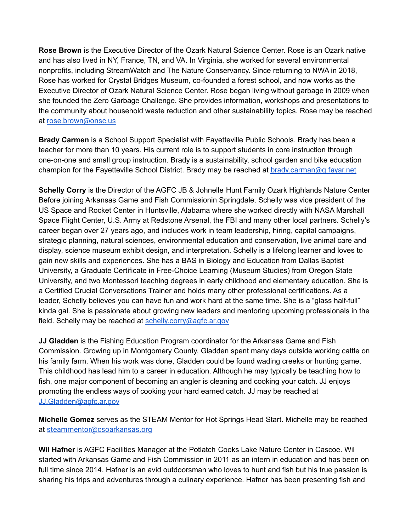**Rose Brown** is the Executive Director of the Ozark Natural Science Center. Rose is an Ozark native and has also lived in NY, France, TN, and VA. In Virginia, she worked for several environmental nonprofits, including StreamWatch and The Nature Conservancy. Since returning to NWA in 2018, Rose has worked for Crystal Bridges Museum, co-founded a forest school, and now works as the Executive Director of Ozark Natural Science Center. Rose began living without garbage in 2009 when she founded the Zero Garbage Challenge. She provides information, workshops and presentations to the community about household waste reduction and other sustainability topics. Rose may be reached at [rose.brown@onsc.us](mailto:rose.brown@onsc.us)

**Brady Carmen** is a School Support Specialist with Fayetteville Public Schools. Brady has been a teacher for more than 10 years. His current role is to support students in core instruction through one-on-one and small group instruction. Brady is a sustainability, school garden and bike education champion for the Fayetteville School District. Brady may be reached at [brady.carman@g.fayar.net](mailto:brady.carman@g.fayar.net)

**Schelly Corry** is the Director of the AGFC JB & Johnelle Hunt Family Ozark Highlands Nature Center Before joining Arkansas Game and Fish Commissionin Springdale. Schelly was vice president of the US Space and Rocket Center in Huntsville, Alabama where she worked directly with NASA Marshall Space Flight Center, U.S. Army at Redstone Arsenal, the FBI and many other local partners. Schelly's career began over 27 years ago, and includes work in team leadership, hiring, capital campaigns, strategic planning, natural sciences, environmental education and conservation, live animal care and display, science museum exhibit design, and interpretation. Schelly is a lifelong learner and loves to gain new skills and experiences. She has a BAS in Biology and Education from Dallas Baptist University, a Graduate Certificate in Free-Choice Learning (Museum Studies) from Oregon State University, and two Montessori teaching degrees in early childhood and elementary education. She is a Certified Crucial Conversations Trainer and holds many other professional certifications. As a leader, Schelly believes you can have fun and work hard at the same time. She is a "glass half-full" kinda gal. She is passionate about growing new leaders and mentoring upcoming professionals in the field. Schelly may be reached at [schelly.corry@agfc.ar.gov](mailto:schelly.corry@agfc.ar.gov)

**JJ Gladden** is the Fishing Education Program coordinator for the Arkansas Game and Fish Commission. Growing up in Montgomery County, Gladden spent many days outside working cattle on his family farm. When his work was done, Gladden could be found wading creeks or hunting game. This childhood has lead him to a career in education. Although he may typically be teaching how to fish, one major component of becoming an angler is cleaning and cooking your catch. JJ enjoys promoting the endless ways of cooking your hard earned catch. JJ may be reached at [JJ.Gladden@agfc.ar.gov](mailto:JJ.Gladden@agfc.ar.gov)

**Michelle Gomez** serves as the STEAM Mentor for Hot Springs Head Start. Michelle may be reached at [steammentor@csoarkansas.org](mailto:steammentor@csoarkansas.org)

**Wil Hafner** is AGFC Facilities Manager at the Potlatch Cooks Lake Nature Center in Cascoe. Wil started with Arkansas Game and Fish Commission in 2011 as an intern in education and has been on full time since 2014. Hafner is an avid outdoorsman who loves to hunt and fish but his true passion is sharing his trips and adventures through a culinary experience. Hafner has been presenting fish and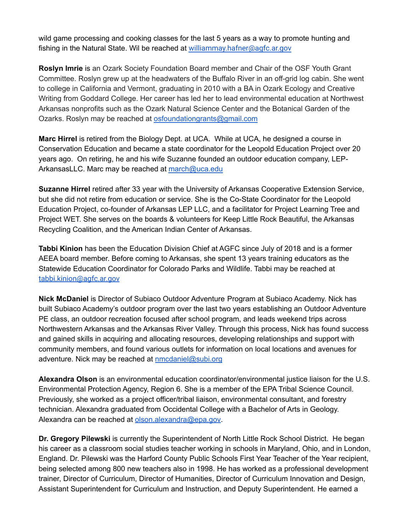wild game processing and cooking classes for the last 5 years as a way to promote hunting and fishing in the Natural State. Wil be reached at [williammay.hafner@agfc.ar.gov](mailto:william.hafner@agfc.ar.gov)

**Roslyn Imrie** is an Ozark Society Foundation Board member and Chair of the OSF Youth Grant Committee. Roslyn grew up at the headwaters of the Buffalo River in an off-grid log cabin. She went to college in California and Vermont, graduating in 2010 with a BA in Ozark Ecology and Creative Writing from Goddard College. Her career has led her to lead environmental education at Northwest Arkansas nonprofits such as the Ozark Natural Science Center and the Botanical Garden of the Ozarks. Roslyn may be reached at osfoundationgrants@gmail.com

**Marc Hirrel** is retired from the Biology Dept. at UCA. While at UCA, he designed a course in Conservation Education and became a state coordinator for the Leopold Education Project over 20 years ago. On retiring, he and his wife Suzanne founded an outdoor education company, LEPArkansasLLC. Marc may be reached at [march@uca.edu](mailto:march@uca.edu)

**Suzanne Hirrel** retired after 33 year with the University of Arkansas Cooperative Extension Service, but she did not retire from education or service. She is the Co-State Coordinator for the Leopold Education Project, co-founder of Arkansas LEP LLC, and a facilitator for Project Learning Tree and Project WET. She serves on the boards & volunteers for Keep Little Rock Beautiful, the Arkansas Recycling Coalition, and the American Indian Center of Arkansas.

**Tabbi Kinion** has been the Education Division Chief at AGFC since July of 2018 and is a former AEEA board member. Before coming to Arkansas, she spent 13 years training educators as the Statewide Education Coordinator for Colorado Parks and Wildlife. Tabbi may be reached at [tabbi.kinion@agfc.ar.gov](mailto:tabbi.kinion@agfc.ar.gov)

**Nick McDaniel** is Director of Subiaco Outdoor Adventure Program at Subiaco Academy. Nick has built Subiaco Academy's outdoor program over the last two years establishing an Outdoor Adventure PE class, an outdoor recreation focused after school program, and leads weekend trips across Northwestern Arkansas and the Arkansas River Valley. Through this process, Nick has found success and gained skills in acquiring and allocating resources, developing relationships and support with community members, and found various outlets for information on local locations and avenues for adventure. Nick may be reached at [nmcdaniel@subi.org](mailto:nmcdaniel@subi.org)

**Alexandra Olson** is an environmental education coordinator/environmental justice liaison for the U.S. Environmental Protection Agency, Region 6. She is a member of the EPA Tribal Science Council. Previously, she worked as a project officer/tribal liaison, environmental consultant, and forestry technician. Alexandra graduated from Occidental College with a Bachelor of Arts in Geology. Alexandra can be reached at [olson.alexandra@epa.gov](mailto:olson.alexandra@epa.gov).

**Dr. Gregory Pilewski** is currently the Superintendent of North Little Rock School District. He began his career as a classroom social studies teacher working in schools in Maryland, Ohio, and in London, England. Dr. Pilewski was the Harford County Public Schools First Year Teacher of the Year recipient, being selected among 800 new teachers also in 1998. He has worked as a professional development trainer, Director of Curriculum, Director of Humanities, Director of Curriculum Innovation and Design, Assistant Superintendent for Curriculum and Instruction, and Deputy Superintendent. He earned a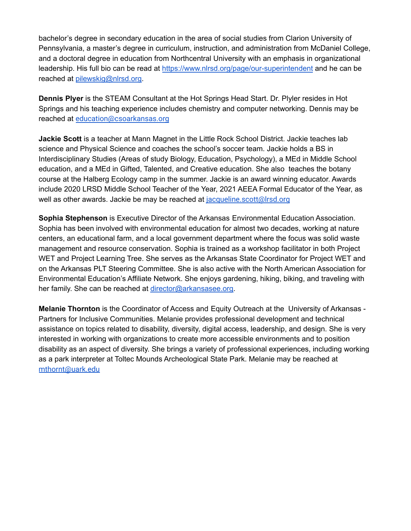bachelor's degree in secondary education in the area of social studies from Clarion University of Pennsylvania, a master's degree in curriculum, instruction, and administration from McDaniel College, and a doctoral degree in education from Northcentral University with an emphasis in organizational leadership. His full bio can be read at <https://www.nlrsd.org/page/our-superintendent> and he can be reached at [pilewskig@nlrsd.org](mailto:pilewskig@nlrsd.org).

**Dennis Plyer** is the STEAM Consultant at the Hot Springs Head Start. Dr. Plyler resides in Hot Springs and his teaching experience includes chemistry and computer networking. Dennis may be reached at [education@csoarkansas.org](mailto:education@csoarkansas.org)

**Jackie Scott** is a teacher at Mann Magnet in the Little Rock School District. Jackie teaches lab science and Physical Science and coaches the school's soccer team. Jackie holds a BS in Interdisciplinary Studies (Areas of study Biology, Education, Psychology), a MEd in Middle School education, and a MEd in Gifted, Talented, and Creative education. She also teaches the botany course at the Halberg Ecology camp in the summer. Jackie is an award winning educator. Awards include 2020 LRSD Middle School Teacher of the Year, 2021 AEEA Formal Educator of the Year, as well as other awards. Jackie be may be reached at [jacqueline.scott@lrsd.org](mailto:jacqueline.scott@lrsd.org)

**Sophia Stephenson** is Executive Director of the Arkansas Environmental Education Association. Sophia has been involved with environmental education for almost two decades, working at nature centers, an educational farm, and a local government department where the focus was solid waste management and resource conservation. Sophia is trained as a workshop facilitator in both Project WET and Project Learning Tree. She serves as the Arkansas State Coordinator for Project WET and on the Arkansas PLT Steering Committee. She is also active with the North American Association for Environmental Education's Affiliate Network. She enjoys gardening, hiking, biking, and traveling with her family. She can be reached at [director@arkansasee.org.](mailto:director@arkansasee.org)

**Melanie Thornton** is the Coordinator of Access and Equity Outreach at the University of Arkansas - Partners for Inclusive Communities. Melanie provides professional development and technical assistance on topics related to disability, diversity, digital access, leadership, and design. She is very interested in working with organizations to create more accessible environments and to position disability as an aspect of diversity. She brings a variety of professional experiences, including working as a park interpreter at Toltec Mounds Archeological State Park. Melanie may be reached at [mthornt@uark.edu](mailto:mthornt@uark.edu)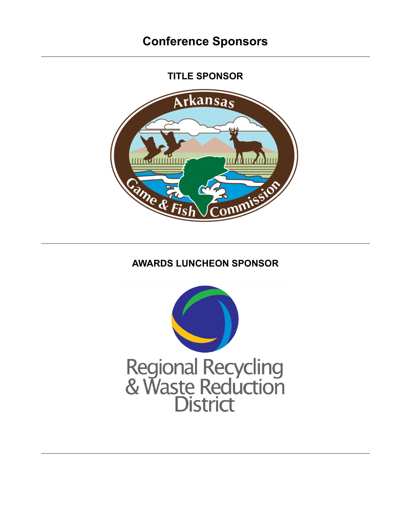**TITLE SPONSOR**



### **AWARDS LUNCHEON SPONSOR**